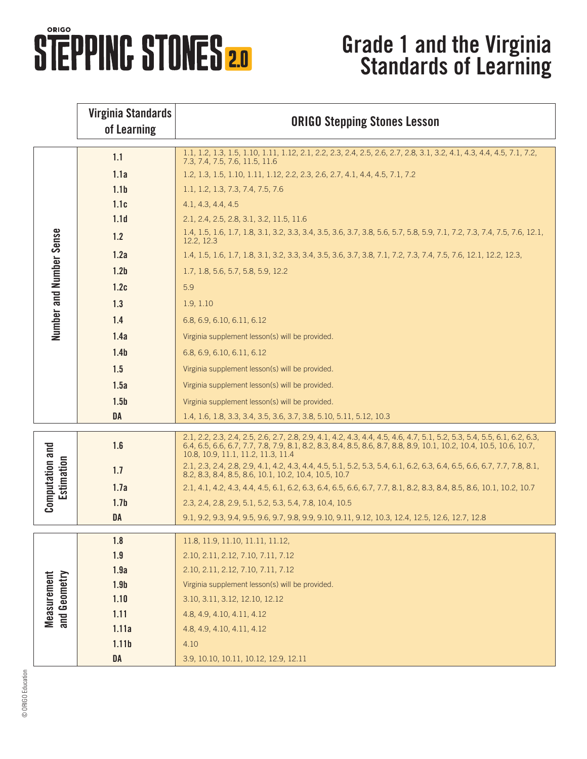## **STEPPINC STONES 2.0**

## **Grade 1 and the Virginia Standards of Learning**

|                                     | <b>Virginia Standards</b><br>of Learning | <b>ORIGO Stepping Stones Lesson</b>                                                                                                                                                                                                                                                  |
|-------------------------------------|------------------------------------------|--------------------------------------------------------------------------------------------------------------------------------------------------------------------------------------------------------------------------------------------------------------------------------------|
| Number and Number Sense             | 1.1                                      | 1.1, 1.2, 1.3, 1.5, 1.10, 1.11, 1.12, 2.1, 2.2, 2.3, 2.4, 2.5, 2.6, 2.7, 2.8, 3.1, 3.2, 4.1, 4.3, 4.4, 4.5, 7.1, 7.2,<br>7.3, 7.4, 7.5, 7.6, 11.5, 11.6                                                                                                                              |
|                                     | 1.1a                                     | 1.2, 1.3, 1.5, 1.10, 1.11, 1.12, 2.2, 2.3, 2.6, 2.7, 4.1, 4.4, 4.5, 7.1, 7.2                                                                                                                                                                                                         |
|                                     | 1.1 <sub>b</sub>                         | 1.1, 1.2, 1.3, 7.3, 7.4, 7.5, 7.6                                                                                                                                                                                                                                                    |
|                                     | 1.1c                                     | 4.1, 4.3, 4.4, 4.5                                                                                                                                                                                                                                                                   |
|                                     | 1.1 <sub>d</sub>                         | 2.1, 2.4, 2.5, 2.8, 3.1, 3.2, 11.5, 11.6                                                                                                                                                                                                                                             |
|                                     | 1.2                                      | 1.4, 1.5, 1.6, 1.7, 1.8, 3.1, 3.2, 3.3, 3.4, 3.5, 3.6, 3.7, 3.8, 5.6, 5.7, 5.8, 5.9, 7.1, 7.2, 7.3, 7.4, 7.5, 7.6, 12.1,<br>12.2, 12.3                                                                                                                                               |
|                                     | 1.2a                                     | 1.4, 1.5, 1.6, 1.7, 1.8, 3.1, 3.2, 3.3, 3.4, 3.5, 3.6, 3.7, 3.8, 7.1, 7.2, 7.3, 7.4, 7.5, 7.6, 12.1, 12.2, 12.3,                                                                                                                                                                     |
|                                     | 1.2 <sub>b</sub>                         | 1.7, 1.8, 5.6, 5.7, 5.8, 5.9, 12.2                                                                                                                                                                                                                                                   |
|                                     | 1.2c                                     | 5.9                                                                                                                                                                                                                                                                                  |
|                                     | 1.3                                      | 1.9, 1.10                                                                                                                                                                                                                                                                            |
|                                     | 1.4                                      | 6.8, 6.9, 6.10, 6.11, 6.12                                                                                                                                                                                                                                                           |
|                                     | 1.4a                                     | Virginia supplement lesson(s) will be provided.                                                                                                                                                                                                                                      |
|                                     | 1.4 <sub>b</sub>                         | 6.8, 6.9, 6.10, 6.11, 6.12                                                                                                                                                                                                                                                           |
|                                     | 1.5                                      | Virginia supplement lesson(s) will be provided.                                                                                                                                                                                                                                      |
|                                     | 1.5a                                     | Virginia supplement lesson(s) will be provided.                                                                                                                                                                                                                                      |
|                                     | 1.5 <sub>b</sub>                         | Virginia supplement lesson(s) will be provided.                                                                                                                                                                                                                                      |
|                                     | <b>DA</b>                                | 1.4, 1.6, 1.8, 3.3, 3.4, 3.5, 3.6, 3.7, 3.8, 5.10, 5.11, 5.12, 10.3                                                                                                                                                                                                                  |
| <b>Computation and</b><br>stimation | 1.6                                      | 2.1, 2.2, 2.3, 2.4, 2.5, 2.6, 2.7, 2.8, 2.9, 4.1, 4.2, 4.3, 4.4, 4.5, 4.6, 4.7, 5.1, 5.2, 5.3, 5.4, 5.5, 6.1, 6.2, 6.3,<br>6.4, 6.5, 6.6, 6.7, 7.7, 7.8, 7.9, 8.1, 8.2, 8.3, 8.4, 8.5, 8.6, 8.7, 8.8, 8.9, 10.1, 10.2, 10.4, 10.5, 10.6, 10.7,<br>10.8, 10.9, 11.1, 11.2, 11.3, 11.4 |
|                                     | 1.7                                      | 2.1, 2.3, 2.4, 2.8, 2.9, 4.1, 4.2, 4.3, 4.4, 4.5, 5.1, 5.2, 5.3, 5.4, 6.1, 6.2, 6.3, 6.4, 6.5, 6.6, 6.7, 7.7, 7.8, 8.1,<br>8.2, 8.3, 8.4, 8.5, 8.6, 10.1, 10.2, 10.4, 10.5, 10.7                                                                                                     |
|                                     | 1.7a                                     | 2.1, 4.1, 4.2, 4.3, 4.4, 4.5, 6.1, 6.2, 6.3, 6.4, 6.5, 6.6, 6.7, 7.7, 8.1, 8.2, 8.3, 8.4, 8.5, 8.6, 10.1, 10.2, 10.7                                                                                                                                                                 |
|                                     | 1.7 <sub>b</sub>                         | 2.3, 2.4, 2.8, 2.9, 5.1, 5.2, 5.3, 5.4, 7.8, 10.4, 10.5                                                                                                                                                                                                                              |
|                                     | <b>DA</b>                                | 9.1, 9.2, 9.3, 9.4, 9.5, 9.6, 9.7, 9.8, 9.9, 9.10, 9.11, 9.12, 10.3, 12.4, 12.5, 12.6, 12.7, 12.8                                                                                                                                                                                    |
| Measurement<br>and Geometry         | 1.8                                      | 11.8, 11.9, 11.10, 11.11, 11.12,                                                                                                                                                                                                                                                     |
|                                     | 1.9                                      | 2.10, 2.11, 2.12, 7.10, 7.11, 7.12                                                                                                                                                                                                                                                   |
|                                     | 1.9a                                     | 2.10, 2.11, 2.12, 7.10, 7.11, 7.12                                                                                                                                                                                                                                                   |
|                                     | 1.9 <sub>b</sub>                         | Virginia supplement lesson(s) will be provided.                                                                                                                                                                                                                                      |
|                                     | 1.10                                     | 3.10, 3.11, 3.12, 12.10, 12.12                                                                                                                                                                                                                                                       |
|                                     | 1.11                                     | 4.8, 4.9, 4.10, 4.11, 4.12                                                                                                                                                                                                                                                           |
|                                     | 1.11a                                    | 4.8, 4.9, 4.10, 4.11, 4.12                                                                                                                                                                                                                                                           |
|                                     | 1.11 <sub>b</sub>                        | 4.10                                                                                                                                                                                                                                                                                 |
|                                     | DA                                       | 3.9, 10.10, 10.11, 10.12, 12.9, 12.11                                                                                                                                                                                                                                                |